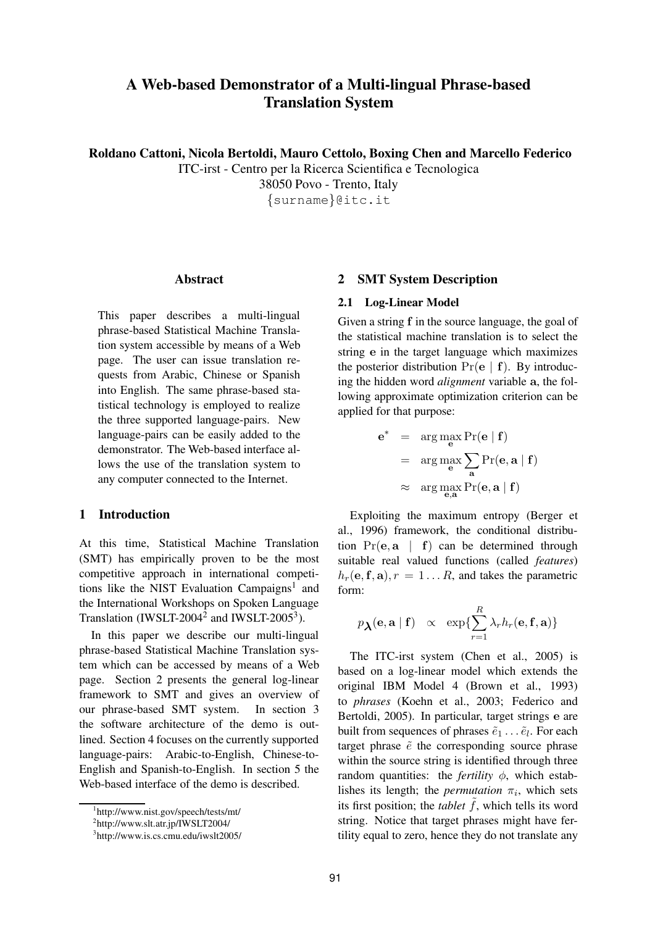# **A Web-based Demonstrator of a Multi-lingual Phrase-based Translation System**

**Roldano Cattoni, Nicola Bertoldi, Mauro Cettolo, Boxing Chen and Marcello Federico**

ITC-irst - Centro per la Ricerca Scientifica e Tecnologica 38050 Povo - Trento, Italy {surname}@itc.it

#### **Abstract**

This paper describes a multi-lingual phrase-based Statistical Machine Translation system accessible by means of a Web page. The user can issue translation requests from Arabic, Chinese or Spanish into English. The same phrase-based statistical technology is employed to realize the three supported language-pairs. New language-pairs can be easily added to the demonstrator. The Web-based interface allows the use of the translation system to any computer connected to the Internet.

# **1 Introduction**

At this time, Statistical Machine Translation (SMT) has empirically proven to be the most competitive approach in international competitions like the NIST Evaluation Campaigns<sup>1</sup> and the International Workshops on Spoken Language Translation (IWSLT-2004<sup>2</sup> and IWSLT-2005<sup>3</sup>).

In this paper we describe our multi-lingual phrase-based Statistical Machine Translation system which can be accessed by means of a Web page. Section 2 presents the general log-linear framework to SMT and gives an overview of our phrase-based SMT system. In section 3 the software architecture of the demo is outlined. Section 4 focuses on the currently supported language-pairs: Arabic-to-English, Chinese-to-English and Spanish-to-English. In section 5 the Web-based interface of the demo is described.

# **2 SMT System Description**

#### **2.1 Log-Linear Model**

Given a string f in the source language, the goal of the statistical machine translation is to select the string e in the target language which maximizes the posterior distribution  $Pr(e | f)$ . By introducing the hidden word *alignment* variable a, the following approximate optimization criterion can be applied for that purpose:

$$
e^* = \arg \max_{e} \Pr(e | f)
$$
  
= 
$$
\arg \max_{e} \sum_{a} \Pr(e, a | f)
$$
  

$$
\approx \arg \max_{e, a} \Pr(e, a | f)
$$

Exploiting the maximum entropy (Berger et al., 1996) framework, the conditional distribution  $Pr(e, a \mid f)$  can be determined through suitable real valued functions (called *features*)  $h_r(\mathbf{e}, \mathbf{f}, \mathbf{a}), r = 1...R$ , and takes the parametric form:

$$
p_{\lambda}(\mathbf{e}, \mathbf{a} | \mathbf{f}) \propto \exp\{\sum_{r=1}^{R} \lambda_r h_r(\mathbf{e}, \mathbf{f}, \mathbf{a})\}
$$

The ITC-irst system (Chen et al., 2005) is based on a log-linear model which extends the original IBM Model 4 (Brown et al., 1993) to *phrases* (Koehn et al., 2003; Federico and Bertoldi, 2005). In particular, target strings e are built from sequences of phrases  $\tilde{e}_1 \dots \tilde{e}_l$ . For each target phrase  $\tilde{e}$  the corresponding source phrase within the source string is identified through three random quantities: the *fertility*  $\phi$ , which establishes its length; the *permutation*  $\pi_i$ , which sets its first position; the *tablet*  $\tilde{f}$ , which tells its word string. Notice that target phrases might have fertility equal to zero, hence they do not translate any

<sup>1</sup> http://www.nist.gov/speech/tests/mt/

<sup>2</sup> http://www.slt.atr.jp/IWSLT2004/

<sup>3</sup> http://www.is.cs.cmu.edu/iwslt2005/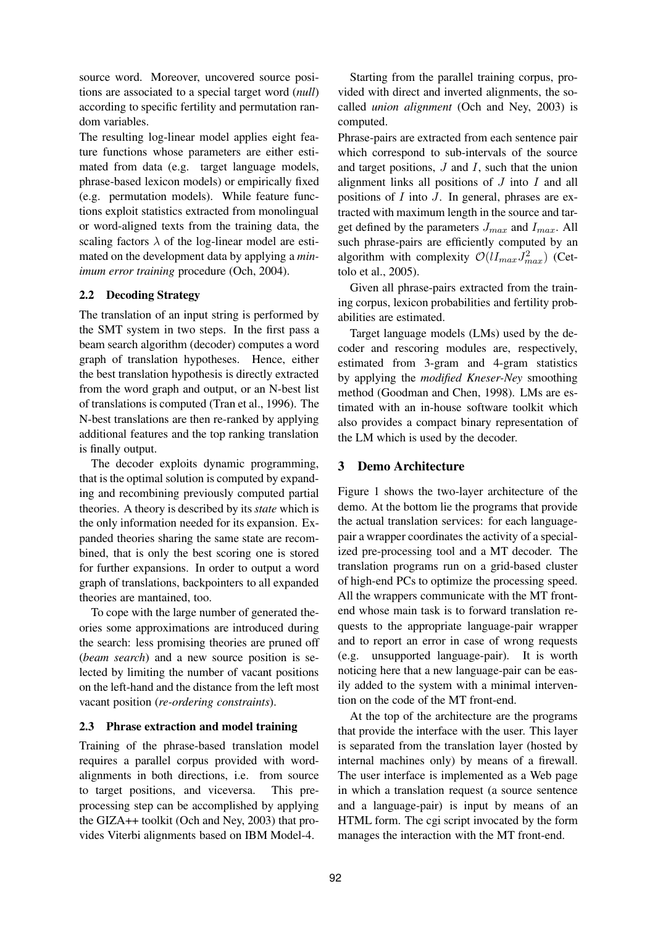source word. Moreover, uncovered source positions are associated to a special target word (*null*) according to specific fertility and permutation random variables.

The resulting log-linear model applies eight feature functions whose parameters are either estimated from data (e.g. target language models, phrase-based lexicon models) or empirically fixed (e.g. permutation models). While feature functions exploit statistics extracted from monolingual or word-aligned texts from the training data, the scaling factors  $\lambda$  of the log-linear model are estimated on the development data by applying a *minimum error training* procedure (Och, 2004).

#### **2.2 Decoding Strategy**

The translation of an input string is performed by the SMT system in two steps. In the first pass a beam search algorithm (decoder) computes a word graph of translation hypotheses. Hence, either the best translation hypothesis is directly extracted from the word graph and output, or an N-best list of translations is computed (Tran et al., 1996). The N-best translations are then re-ranked by applying additional features and the top ranking translation is finally output.

The decoder exploits dynamic programming, that is the optimal solution is computed by expanding and recombining previously computed partial theories. A theory is described by its*state* which is the only information needed for its expansion. Expanded theories sharing the same state are recombined, that is only the best scoring one is stored for further expansions. In order to output a word graph of translations, backpointers to all expanded theories are mantained, too.

To cope with the large number of generated theories some approximations are introduced during the search: less promising theories are pruned off (*beam search*) and a new source position is selected by limiting the number of vacant positions on the left-hand and the distance from the left most vacant position (*re-ordering constraints*).

#### **2.3 Phrase extraction and model training**

Training of the phrase-based translation model requires a parallel corpus provided with wordalignments in both directions, i.e. from source to target positions, and viceversa. This preprocessing step can be accomplished by applying the GIZA++ toolkit (Och and Ney, 2003) that provides Viterbi alignments based on IBM Model-4.

Starting from the parallel training corpus, provided with direct and inverted alignments, the socalled *union alignment* (Och and Ney, 2003) is computed.

Phrase-pairs are extracted from each sentence pair which correspond to sub-intervals of the source and target positions,  $J$  and  $I$ , such that the union alignment links all positions of  $J$  into  $I$  and all positions of  $I$  into  $J$ . In general, phrases are extracted with maximum length in the source and target defined by the parameters  $J_{max}$  and  $I_{max}$ . All such phrase-pairs are efficiently computed by an algorithm with complexity  $\mathcal{O}(lI_{max}J_{max}^2)$  (Cettolo et al., 2005).

Given all phrase-pairs extracted from the training corpus, lexicon probabilities and fertility probabilities are estimated.

Target language models (LMs) used by the decoder and rescoring modules are, respectively, estimated from 3-gram and 4-gram statistics by applying the *modified Kneser-Ney* smoothing method (Goodman and Chen, 1998). LMs are estimated with an in-house software toolkit which also provides a compact binary representation of the LM which is used by the decoder.

# **3 Demo Architecture**

Figure 1 shows the two-layer architecture of the demo. At the bottom lie the programs that provide the actual translation services: for each languagepair a wrapper coordinates the activity of a specialized pre-processing tool and a MT decoder. The translation programs run on a grid-based cluster of high-end PCs to optimize the processing speed. All the wrappers communicate with the MT frontend whose main task is to forward translation requests to the appropriate language-pair wrapper and to report an error in case of wrong requests (e.g. unsupported language-pair). It is worth noticing here that a new language-pair can be easily added to the system with a minimal intervention on the code of the MT front-end.

At the top of the architecture are the programs that provide the interface with the user. This layer is separated from the translation layer (hosted by internal machines only) by means of a firewall. The user interface is implemented as a Web page in which a translation request (a source sentence and a language-pair) is input by means of an HTML form. The cgi script invocated by the form manages the interaction with the MT front-end.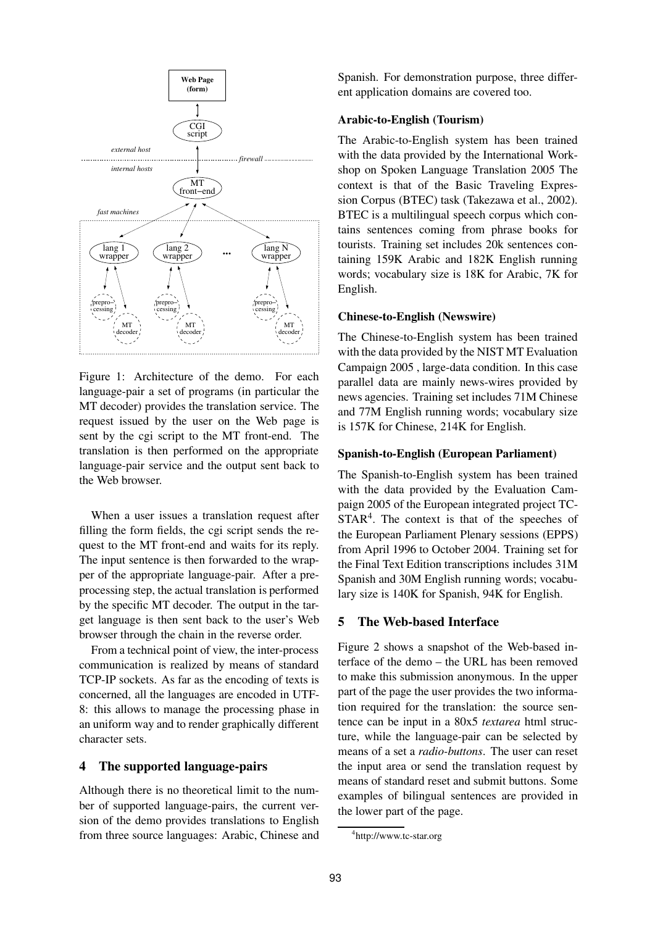

Figure 1: Architecture of the demo. For each language-pair a set of programs (in particular the MT decoder) provides the translation service. The request issued by the user on the Web page is sent by the cgi script to the MT front-end. The translation is then performed on the appropriate language-pair service and the output sent back to the Web browser.

When a user issues a translation request after filling the form fields, the cgi script sends the request to the MT front-end and waits for its reply. The input sentence is then forwarded to the wrapper of the appropriate language-pair. After a preprocessing step, the actual translation is performed by the specific MT decoder. The output in the target language is then sent back to the user's Web browser through the chain in the reverse order.

From a technical point of view, the inter-process communication is realized by means of standard TCP-IP sockets. As far as the encoding of texts is concerned, all the languages are encoded in UTF-8: this allows to manage the processing phase in an uniform way and to render graphically different character sets.

# **4 The supported language-pairs**

Although there is no theoretical limit to the number of supported language-pairs, the current version of the demo provides translations to English from three source languages: Arabic, Chinese and Spanish. For demonstration purpose, three different application domains are covered too.

#### **Arabic-to-English (Tourism)**

The Arabic-to-English system has been trained with the data provided by the International Workshop on Spoken Language Translation 2005 The context is that of the Basic Traveling Expression Corpus (BTEC) task (Takezawa et al., 2002). BTEC is a multilingual speech corpus which contains sentences coming from phrase books for tourists. Training set includes 20k sentences containing 159K Arabic and 182K English running words; vocabulary size is 18K for Arabic, 7K for English.

#### **Chinese-to-English (Newswire)**

The Chinese-to-English system has been trained with the data provided by the NIST MT Evaluation Campaign 2005 , large-data condition. In this case parallel data are mainly news-wires provided by news agencies. Training set includes 71M Chinese and 77M English running words; vocabulary size is 157K for Chinese, 214K for English.

#### **Spanish-to-English (European Parliament)**

The Spanish-to-English system has been trained with the data provided by the Evaluation Campaign 2005 of the European integrated project TC- $STAR<sup>4</sup>$ . The context is that of the speeches of the European Parliament Plenary sessions (EPPS) from April 1996 to October 2004. Training set for the Final Text Edition transcriptions includes 31M Spanish and 30M English running words; vocabulary size is 140K for Spanish, 94K for English.

### **5 The Web-based Interface**

Figure 2 shows a snapshot of the Web-based interface of the demo – the URL has been removed to make this submission anonymous. In the upper part of the page the user provides the two information required for the translation: the source sentence can be input in a 80x5 *textarea* html structure, while the language-pair can be selected by means of a set a *radio-buttons*. The user can reset the input area or send the translation request by means of standard reset and submit buttons. Some examples of bilingual sentences are provided in the lower part of the page.

<sup>4</sup> http://www.tc-star.org